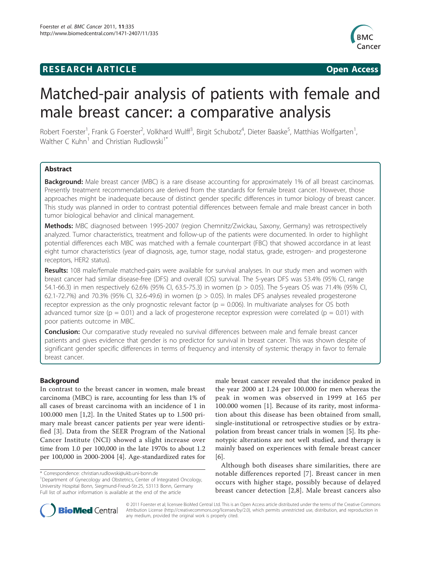## **RESEARCH ARTICLE Example 2018 12:00 Open Access**



# Matched-pair analysis of patients with female and male breast cancer: a comparative analysis

Robert Foerster<sup>1</sup>, Frank G Foerster<sup>2</sup>, Volkhard Wulff<sup>3</sup>, Birgit Schubotz<sup>4</sup>, Dieter Baaske<sup>5</sup>, Matthias Wolfgarten<sup>1</sup> , Walther C Kuhn<sup>1</sup> and Christian Rudlowski<sup>1\*</sup>

## Abstract

Background: Male breast cancer (MBC) is a rare disease accounting for approximately 1% of all breast carcinomas. Presently treatment recommendations are derived from the standards for female breast cancer. However, those approaches might be inadequate because of distinct gender specific differences in tumor biology of breast cancer. This study was planned in order to contrast potential differences between female and male breast cancer in both tumor biological behavior and clinical management.

Methods: MBC diagnosed between 1995-2007 (region Chemnitz/Zwickau, Saxony, Germany) was retrospectively analyzed. Tumor characteristics, treatment and follow-up of the patients were documented. In order to highlight potential differences each MBC was matched with a female counterpart (FBC) that showed accordance in at least eight tumor characteristics (year of diagnosis, age, tumor stage, nodal status, grade, estrogen- and progesterone receptors, HER2 status).

Results: 108 male/female matched-pairs were available for survival analyses. In our study men and women with breast cancer had similar disease-free (DFS) and overall (OS) survival. The 5-years DFS was 53.4% (95% CI, range 54.1-66.3) in men respectively 62.6% (95% CI, 63.5-75.3) in women (p > 0.05). The 5-years OS was 71.4% (95% CI, 62.1-72.7%) and 70.3% (95% CI, 32.6-49.6) in women (p > 0.05). In males DFS analyses revealed progesterone receptor expression as the only prognostic relevant factor ( $p = 0.006$ ). In multivariate analyses for OS both advanced tumor size ( $p = 0.01$ ) and a lack of progesterone receptor expression were correlated ( $p = 0.01$ ) with poor patients outcome in MBC.

**Conclusion:** Our comparative study revealed no survival differences between male and female breast cancer patients and gives evidence that gender is no predictor for survival in breast cancer. This was shown despite of significant gender specific differences in terms of frequency and intensity of systemic therapy in favor to female breast cancer.

## Background

In contrast to the breast cancer in women, male breast carcinoma (MBC) is rare, accounting for less than 1% of all cases of breast carcinoma with an incidence of 1 in 100.000 men [\[1](#page-6-0),[2\]](#page-6-0). In the United States up to 1.500 primary male breast cancer patients per year were identified [\[3\]](#page-6-0). Data from the SEER Program of the National Cancer Institute (NCI) showed a slight increase over time from 1.0 per 100,000 in the late 1970s to about 1.2 per 100,000 in 2000-2004 [\[4](#page-6-0)]. Age-standardized rates for

male breast cancer revealed that the incidence peaked in the year 2000 at 1.24 per 100.000 for men whereas the peak in women was observed in 1999 at 165 per 100.000 women [[1\]](#page-6-0). Because of its rarity, most information about this disease has been obtained from small, single-institutional or retrospective studies or by extrapolation from breast cancer trials in women [\[5\]](#page-6-0). Its phenotypic alterations are not well studied, and therapy is mainly based on experiences with female breast cancer [[6\]](#page-6-0).

Although both diseases share similarities, there are notable differences reported [[7\]](#page-6-0). Breast cancer in men occurs with higher stage, possibly because of delayed breast cancer detection [\[2,8\]](#page-6-0). Male breast cancers also



© 2011 Foerster et al; licensee BioMed Central Ltd. This is an Open Access article distributed under the terms of the Creative Commons Attribution License [\(http://creativecommons.org/licenses/by/2.0](http://creativecommons.org/licenses/by/2.0)), which permits unrestricted use, distribution, and reproduction in any medium, provided the original work is properly cited.

<sup>\*</sup> Correspondence: [christian.rudlowski@ukb.uni-bonn.de](mailto:christian.rudlowski@ukb.uni-bonn.de)

<sup>&</sup>lt;sup>1</sup>Department of Gynecology and Obstetrics, Center of Integrated Oncology, University Hospital Bonn, Siegmund-Freud-Str.25, 53113 Bonn, Germany Full list of author information is available at the end of the article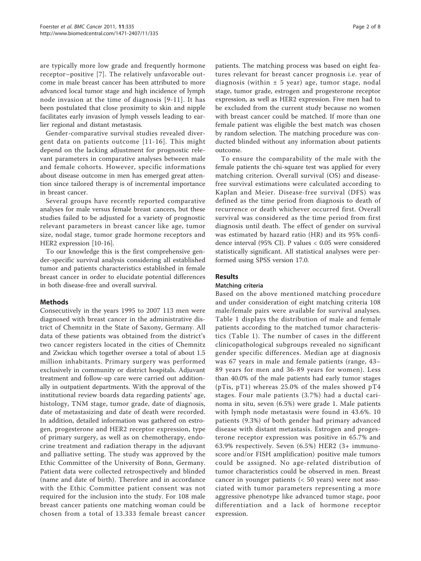are typically more low grade and frequently hormone receptor–positive [[7\]](#page-6-0). The relatively unfavorable outcome in male breast cancer has been attributed to more advanced local tumor stage and high incidence of lymph node invasion at the time of diagnosis [[9](#page-6-0)-[11\]](#page-6-0). It has been postulated that close proximity to skin and nipple facilitates early invasion of lymph vessels leading to earlier regional and distant metastasis.

Gender-comparative survival studies revealed divergent data on patients outcome [[11-](#page-6-0)[16\]](#page-7-0). This might depend on the lacking adjustment for prognostic relevant parameters in comparative analyses between male and female cohorts. However, specific informations about disease outcome in men has emerged great attention since tailored therapy is of incremental importance in breast cancer.

Several groups have recently reported comparative analyses for male versus female breast cancers, but these studies failed to be adjusted for a variety of prognostic relevant parameters in breast cancer like age, tumor size, nodal stage, tumor grade hormone receptors and HER2 expression [\[10](#page-6-0)[-16](#page-7-0)].

To our knowledge this is the first comprehensive gender-specific survival analysis considering all established tumor and patients characteristics established in female breast cancer in order to elucidate potential differences in both disease-free and overall survival.

## Methods

Consecutively in the years 1995 to 2007 113 men were diagnosed with breast cancer in the administrative district of Chemnitz in the State of Saxony, Germany. All data of these patients was obtained from the district's two cancer registers located in the cities of Chemnitz and Zwickau which together oversee a total of about 1.5 million inhabitants. Primary surgery was performed exclusively in community or district hospitals. Adjuvant treatment and follow-up care were carried out additionally in outpatient departments. With the approval of the institutional review boards data regarding patients' age, histology, TNM stage, tumor grade, date of diagnosis, date of metastasizing and date of death were recorded. In addition, detailed information was gathered on estrogen, progesterone and HER2 receptor expression, type of primary surgery, as well as on chemotherapy, endocrine treatment and radiation therapy in the adjuvant and palliative setting. The study was approved by the Ethic Committee of the University of Bonn, Germany. Patient data were collected retrospectively and blinded (name and date of birth). Therefore and in accordance with the Ethic Committee patient consent was not required for the inclusion into the study. For 108 male breast cancer patients one matching woman could be chosen from a total of 13.333 female breast cancer

patients. The matching process was based on eight features relevant for breast cancer prognosis i.e. year of diagnosis (within  $\pm$  5 year) age, tumor stage, nodal stage, tumor grade, estrogen and progesterone receptor expression, as well as HER2 expression. Five men had to be excluded from the current study because no women with breast cancer could be matched. If more than one female patient was eligible the best match was chosen by random selection. The matching procedure was conducted blinded without any information about patients outcome.

To ensure the comparability of the male with the female patients the chi-square test was applied for every matching criterion. Overall survival (OS) and diseasefree survival estimations were calculated according to Kaplan and Meier. Disease-free survival (DFS) was defined as the time period from diagnosis to death of recurrence or death whichever occurred first. Overall survival was considered as the time period from first diagnosis until death. The effect of gender on survival was estimated by hazard ratio (HR) and its 95% confidence interval (95% CI). P values < 0.05 were considered statistically significant. All statistical analyses were performed using SPSS version 17.0.

## Results

## Matching criteria

Based on the above mentioned matching procedure and under consideration of eight matching criteria 108 male/female pairs were available for survival analyses. Table [1](#page-2-0) displays the distribution of male and female patients according to the matched tumor characteristics (Table [1\)](#page-2-0). The number of cases in the different clinicopathological subgroups revealed no significant gender specific differences. Median age at diagnosis was 67 years in male and female patients (range, 43– 89 years for men and 36-89 years for women). Less than 40.0% of the male patients had early tumor stages ( $pTi$ s,  $pTi$ ) whereas 25.0% of the males showed  $pTi$ stages. Four male patients (3.7%) had a ductal carinoma in situ, seven (6.5%) were grade 1. Male patients with lymph node metastasis were found in 43.6%. 10 patients (9.3%) of both gender had primary advanced disease with distant metastasis. Estrogen and progesterone receptor expression was positive in 65.7% and 63.9% respectively. Seven (6.5%) HER2 (3+ immunoscore and/or FISH amplification) positive male tumors could be assigned. No age-related distribution of tumor characteristics could be observed in men. Breast cancer in younger patients (< 50 years) were not associated with tumor parameters representing a more aggressive phenotype like advanced tumor stage, poor differentiation and a lack of hormone receptor expression.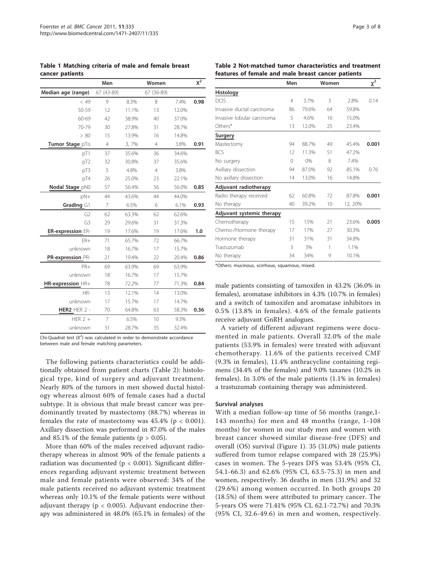<span id="page-2-0"></span>

| Table 1 Matching criteria of male and female breast |  |  |  |
|-----------------------------------------------------|--|--|--|
| cancer patients                                     |  |  |  |

|                     | Men        |       | Women          |       | $\chi^2$ |
|---------------------|------------|-------|----------------|-------|----------|
| Median age (range)  | 67 (43-89) |       | 67 (36-89)     |       |          |
| < 49                | 9          | 8.3%  | 8              | 7.4%  | 0.98     |
| 50-59               | 12         | 11.1% | 13             | 12.0% |          |
| 60-69               | 42         | 38.9% | 40             | 37.0% |          |
| 70-79               | 30         | 27.8% | 31             | 28.7% |          |
| > 80                | 15         | 13.9% | 16             | 14.8% |          |
| Tumor Stage plis    | 4          | 3,7%  | 4              | 3.8%  | 0.91     |
| pT1                 | 37         | 35.6% | 36             | 34.6% |          |
| pT <sub>2</sub>     | 32         | 30.8% | 37             | 35.6% |          |
| pT3                 | 5          | 4.8%  | $\overline{4}$ | 3.8%  |          |
| pT4                 | 26         | 25.0% | 23             | 22.1% |          |
| Nodal Stage pN0     | 57         | 56.4% | 56             | 56.0% | 0.85     |
| pN+                 | 44         | 43.6% | 44             | 44.0% |          |
| Grading G1          | 7          | 6.5%  | 6              | 6.1%  | 0.93     |
| G <sub>2</sub>      | 62         | 63.3% | 62             | 62.6% |          |
| G <sub>3</sub>      | 29         | 29.6% | 31             | 31.3% |          |
| ER-expression ER-   | 19         | 17.6% | 19             | 17.6% | 1.0      |
| $ER+$               | 71         | 65.7% | 72             | 66.7% |          |
| unknown             | 18         | 16.7% | 17             | 15.7% |          |
| PR-expression PR-   | 21         | 19.4% | 22             | 20.4% | 0.86     |
| PR+                 | 69         | 63.9% | 69             | 63.9% |          |
| unknown             | 18         | 16.7% | 17             | 15.7% |          |
| HR-expression HR+   | 78         | 72.2% | 77             | 71.3% | 0.84     |
| HR-                 | 13         | 12.1% | 14             | 13.0% |          |
| unknown             | 17         | 15.7% | 17             | 14.7% |          |
| <b>HER2 HER 2 -</b> | 70         | 64.8% | 63             | 58.3% | 0.36     |
| HFR $2 +$           | 7          | 6.5%  | 10             | 9.3%  |          |
| unknown             | 31         | 28.7% | 35             | 32.4% |          |

Chi-Quadrat test  $(X^2)$  was calculated in order to demonstrate accordance between male and female matching parameters.

The following patients characteristics could be additionally obtained from patient charts (Table 2): histological type, kind of surgery and adjuvant treatment. Nearly 80% of the tumors in men showed ductal histology whereas almost 60% of female cases had a ductal subtype. It is obvious that male breast cancer was predominantly treated by mastectomy (88.7%) whereas in females the rate of mastectomy was  $45.4\%$  (p < 0.001). Axillary dissection was performed in 87.0% of the males and 85.1% of the female patients ( $p > 0.05$ ).

More than 60% of the males received adjuvant radiotherapy whereas in almost 90% of the female patients a radiation was documented ( $p < 0.001$ ). Significant differences regarding adjuvant systemic treatment between male and female patients were observed: 34% of the male patients received no adjuvant systemic treatment whereas only 10.1% of the female patients were without adjuvant therapy ( $p < 0.005$ ). Adjuvant endocrine therapy was administered in 48.0% (65.1% in females) of the

#### Table 2 Not-matched tumor characteristics and treatment features of female and male breast cancer patients

|                            | Men            |       | Women |         | $\chi^2$ |
|----------------------------|----------------|-------|-------|---------|----------|
| Histology                  |                |       |       |         |          |
| <b>DCIS</b>                | $\overline{4}$ | 3.7%  | 3     | 2.8%    | 0.14     |
| Invasive ductal carcinoma  | 86             | 79.6% | 64    | 59.8%   |          |
| Invasive lobular carcinoma | 5              | 4.6%  | 16    | 15.0%   |          |
| Others*                    | 13             | 12.0% | 25    | 23.4%   |          |
| Surgery                    |                |       |       |         |          |
| Mastectomy                 | 94             | 88.7% | 49    | 45.4%   | 0.001    |
| <b>BCS</b>                 | 12             | 11.3% | 51    | 47.2%   |          |
| No surgery                 | 0              | 0%    | 8     | 7.4%    |          |
| Axillary dissection        | 94             | 87.0% | 92    | 85.1%   | 0.76     |
| No axillary dissection     | 14             | 13.0% | 16    | 14.8%   |          |
| Adjuvant radiotherapy      |                |       |       |         |          |
| Radio therapy received     | 62             | 60.8% | 72    | 87.8%   | 0.001    |
| No therapy                 | 40             | 39.2% | 10    | 12, 20% |          |
| Adjuvant systemic therapy  |                |       |       |         |          |
| Chemotherapy               | 15             | 15%   | 21    | 23.6%   | 0.005    |
| Chemo-/Hormone therapy     | 17             | 17%   | 27    | 30.3%   |          |
| Hormone therapy            | 31             | 31%   | 31    | 34.8%   |          |
| Trastuzumab                | 3              | 3%    | 1     | 1.1%    |          |
| No therapy                 | 34             | 34%   | 9     | 10.1%   |          |

\*Others: mucinous, scirrhous, squamous, mixed.

male patients consisting of tamoxifen in 43.2% (36.0% in females), aromatase inhibitors in 4.3% (10.7% in females) and a switch of tamoxifen and aromatase inhibitors in 0.5% (13.8% in females). 4.6% of the female patients receive adjuvant GnRH analogues.

A variety of different adjuvant regimens were documented in male patients. Overall 32.0% of the male patients (53.9% in females) were treated with adjuvant chemotherapy. 11.6% of the patients received CMF (9.3% in females), 11.4% anthracycline containing regimens (34.4% of the females) and 9.0% taxanes (10.2% in females). In 3.0% of the male patients (1.1% in females) a trastuzumab containing therapy was administered.

#### Survival analyses

With a median follow-up time of 56 months (range,1- 143 months) for men and 48 months (range, 1-108 months) for women in our study men and women with breast cancer showed similar disease-free (DFS) and overall (OS) survival (Figure [1\)](#page-3-0). 35 (31.0%) male patients suffered from tumor relapse compared with 28 (25.9%) cases in women. The 5-years DFS was 53.4% (95% CI, 54.1-66.3) and 62.6% (95% CI, 63.5-75.3) in men and women, respectively. 36 deaths in men (31.9%) and 32 (29.6%) among women occurred. In both groups 20 (18.5%) of them were attributed to primary cancer. The 5-years OS were 71.41% (95% CI, 62.1-72.7%) and 70.3% (95% CI, 32.6-49.6) in men and women, respectively.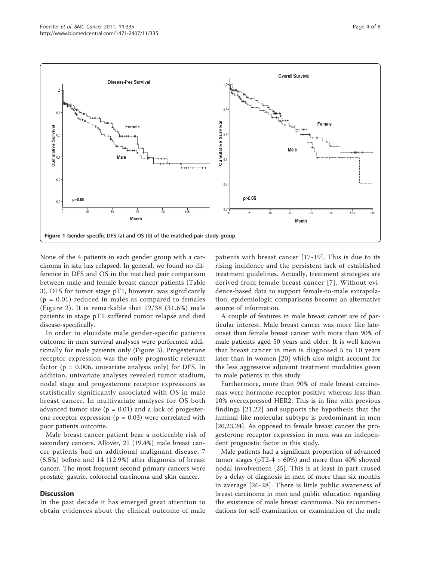<span id="page-3-0"></span>

None of the 4 patients in each gender group with a carcinoma in situ has relapsed. In general, we found no difference in DFS and OS in the matched pair comparison between male and female breast cancer patients (Table [3\)](#page-4-0). DFS for tumor stage pT1, however, was significantly  $(p = 0.01)$  reduced in males as compared to females (Figure [2\)](#page-5-0). It is remarkable that 12/38 (31.6%) male patients in stage pT1 suffered tumor relapse and died disease-specifically.

In order to elucidate male gender-specific patients outcome in men survival analyses were performed additionally for male patients only (Figure [3\)](#page-5-0). Progesterone receptor expression was the only prognostic relevant factor ( $p = 0.006$ , univariate analysis only) for DFS. In addition, univariate analyses revealed tumor stadium, nodal stage and progesterone receptor expressions as statistically significantly associated with OS in male breast cancer. In multivariate analyses for OS both advanced tumor size  $(p = 0.01)$  and a lack of progesterone receptor expression ( $p = 0.03$ ) were correlated with poor patients outcome.

Male breast cancer patient bear a noticeable risk of secondary cancers. Allover, 21 (19.4%) male breast cancer patients had an additional malignant disease, 7 (6.5%) before and 14 (12.9%) after diagnosis of breast cancer. The most frequent second primary cancers were prostate, gastric, colorectal carcinoma and skin cancer.

### **Discussion**

In the past decade it has emerged great attention to obtain evidences about the clinical outcome of male patients with breast cancer [[17](#page-7-0)-[19](#page-7-0)]. This is due to its rising incidence and the persistent lack of established treatment guidelines. Actually, treatment strategies are derived from female breast cancer [[7](#page-6-0)]. Without evidence-based data to support female-to-male extrapolation, epidemiologic comparisons become an alternative source of information.

A couple of features in male breast cancer are of particular interest. Male breast cancer was more like lateonset than female breast cancer with more than 90% of male patients aged 50 years and older. It is well known that breast cancer in men is diagnosed 5 to 10 years later than in women [[20\]](#page-7-0) which also might account for the less aggressive adjuvant treatment modalities given to male patients in this study.

Furthermore, more than 90% of male breast carcinomas were hormone receptor positive whereas less than 10% overexpressed HER2. This is in line with previous findings [[21,22\]](#page-7-0) and supports the hypothesis that the luminal like molecular subtype is predominant in men [[20,23,24](#page-7-0)]. As opposed to female breast cancer the progesterone receptor expression in men was an independent prognostic factor in this study.

Male patients had a significant proportion of advanced tumor stages ( $pT2-4 > 60\%$ ) and more than 40% showed nodal involvement [[25](#page-7-0)]. This is at least in part caused by a delay of diagnosis in men of more than six months in average [[26](#page-7-0)-[28\]](#page-7-0). There is little public awareness of breast carcinoma in men and public education regarding the existence of male breast carcinoma. No recommendations for self-examination or examination of the male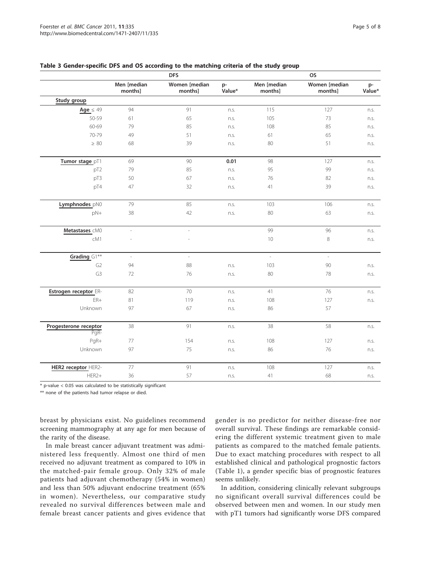|                               | <b>DFS</b>               |                          |              | <b>OS</b>              |                          |              |  |
|-------------------------------|--------------------------|--------------------------|--------------|------------------------|--------------------------|--------------|--|
|                               | Men [median<br>months]   | Women [median<br>months] | p-<br>Value* | Men [median<br>months] | Women [median<br>months] | p-<br>Value* |  |
| Study group                   |                          |                          |              |                        |                          |              |  |
| Age $\leq 49$                 | 94                       | 91                       | n.s.         | 115                    | 127                      | n.s.         |  |
| 50-59                         | 61                       | 65                       | n.s.         | 105                    | 73                       | n.s.         |  |
| 60-69                         | 79                       | 85                       | n.s.         | 108                    | 85                       | n.s.         |  |
| 70-79                         | 49                       | 51                       | n.s.         | 61                     | 65                       | n.s.         |  |
| $\geq 80$                     | 68                       | 39                       | n.s.         | 80                     | 51                       | n.s.         |  |
| Tumor stage pT1               | 69                       | 90                       | 0.01         | 98                     | 127                      | n.s.         |  |
| pT <sub>2</sub>               | 79                       | 85                       | n.s.         | 95                     | 99                       | n.s.         |  |
| pT3                           | 50                       | 67                       | n.s.         | 76                     | 82                       | n.s.         |  |
| pT4                           | 47                       | 32                       | n.s.         | 41                     | 39                       | n.s.         |  |
| Lymphnodes_pN0                | 79                       | 85                       | n.s.         | 103                    | 106                      | n.s.         |  |
| pN+                           | 38                       | 42                       | n.s.         | 80                     | 63                       | n.s.         |  |
| Metastases cM0                | $\overline{\phantom{a}}$ | $\overline{\phantom{a}}$ |              | 99                     | 96                       | n.s.         |  |
| cM1                           | L,                       |                          |              | 10                     | $\,8\,$                  | n.s.         |  |
| Grading G1**                  | $\overline{\phantom{a}}$ | $\sim$                   |              | $\overline{a}$         | $\mathcal{L}$            |              |  |
| G <sub>2</sub>                | 94                       | 88                       | n.s.         | 103                    | 90                       | n.s.         |  |
| G3                            | 72                       | 76                       | n.s.         | 80                     | 78                       | n.s.         |  |
| Estrogen receptor ER-         | 82                       | 70                       | n.s.         | 41                     | 76                       | n.s.         |  |
| $ER+$                         | 81                       | 119                      | n.s.         | 108                    | 127                      | n.s.         |  |
| Unknown                       | 97                       | 67                       | n.s.         | 86                     | 57                       |              |  |
| Progesterone receptor<br>PgR- | 38                       | 91                       | n.s.         | 38                     | 58                       | n.s.         |  |
| PgR+                          | 77                       | 154                      | n.s.         | 108                    | 127                      | n.s.         |  |
| Unknown                       | 97                       | 75                       | n.s.         | 86                     | 76                       | n.s.         |  |
| HER2 receptor HER2-           | 77                       | 91                       | n.s.         | 108                    | 127                      | n.s.         |  |
| HER2+                         | 36                       | 57                       | n.s.         | 41                     | 68                       | n.s.         |  |

### <span id="page-4-0"></span>Table 3 Gender-specific DFS and OS according to the matching criteria of the study group

\* p-value < 0.05 was calculated to be statistically significant

\*\* none of the patients had tumor relapse or died.

breast by physicians exist. No guidelines recommend screening mammography at any age for men because of the rarity of the disease.

In male breast cancer adjuvant treatment was administered less frequently. Almost one third of men received no adjuvant treatment as compared to 10% in the matched-pair female group. Only 32% of male patients had adjuvant chemotherapy (54% in women) and less than 50% adjuvant endocrine treatment (65% in women). Nevertheless, our comparative study revealed no survival differences between male and female breast cancer patients and gives evidence that gender is no predictor for neither disease-free nor overall survival. These findings are remarkable considering the different systemic treatment given to male patients as compared to the matched female patients. Due to exact matching procedures with respect to all established clinical and pathological prognostic factors (Table [1](#page-2-0)), a gender specific bias of prognostic features seems unlikely.

In addition, considering clinically relevant subgroups no significant overall survival differences could be observed between men and women. In our study men with pT1 tumors had significantly worse DFS compared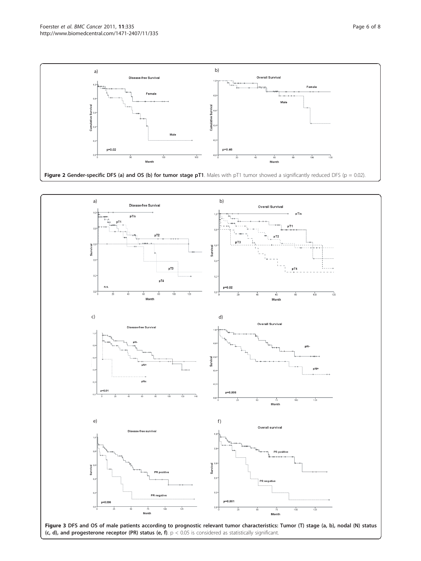<span id="page-5-0"></span>

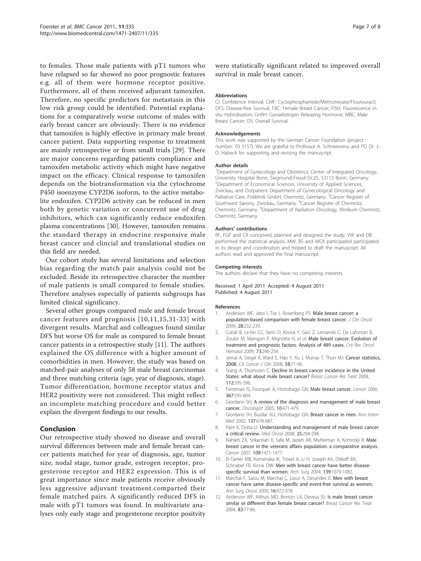<span id="page-6-0"></span>to females. Those male patients with pT1 tumors who have relapsed so far showed no poor prognostic features e.g. all of them were hormone receptor positive. Furthermore, all of them received adjuvant tamoxifen. Therefore, no specific predictors for metastasis in this low risk group could be identified. Potential explanations for a comparatively worse outcome of males with early breast cancer are obviously. There is no evidence that tamoxifen is highly effective in primary male breast cancer patient. Data supporting response to treatment are mainly retrospective or from small trials [\[29](#page-7-0)]. There are major concerns regarding patients compliance and tamoxifen metabolic activity which might have negative impact on the efficacy. Clinical response to tamoxifen depends on the biotransformation via the cytochrome P450 isoenzyme CYP2D6 isoform, to the active metabolite endoxifen. CYP2D6 activity can be reduced in men both by genetic variation or concurrent use of drug inhibitors, which can significantly reduce endoxifen plasma concentrations [[30](#page-7-0)]. However, tamoxifen remains the standard therapy in endocrine responsive male breast cancer and clincial and translational studies on this field are needed.

Our cohort study has several limitations and selection bias regarding the match pair analysis could not be excluded. Beside its retrospective character the number of male patients is small compared to female studies. Therefore analyses especially of patients subgroups has limited clinical significancy.

Several other groups compared male and female breast cancer features and prognosis [10,11,[15](#page-7-0),[31-33](#page-7-0)] with divergent results. Marchal and colleagues found similar DFS but worse OS for male as compared to female breast cancer patients in a retrospective study [11]. The authors explained the OS difference with a higher amount of comorbidities in men. However, the study was based on matched-pair analyses of only 58 male breast carcinomas and three matching criteria (age, year of diagnosis, stage). Tumor differentiation, hormone receptor status and HER2 positivity were not considered. This might reflect an incomplete matching procedure and could better explain the divergent findings to our results.

## Conclusion

Our retrospective study showed no disease and overall survival differences between male and female breast cancer patients matched for year of diagnosis, age, tumor size, nodal stage, tumor grade, estrogen receptor, progesterone receptor and HER2 expression. This is of great importance since male patients receive obviously less aggressive adjuvant treatment.comparted their female matched pairs. A significantly reduced DFS in male with pT1 tumors was found. In multivariate analyses only early stage and progesterone receptor positvity

Page 7 of 8

were statistically significant related to improved overall survival in male breast cancer.

#### Abbreviations

CI: Confidence Interval; CMF: Cyclophosphamide/Methotrexate/Flourouracil; DFS: Disease-free Survival; FBC: Female Breast Cancer; FISH: Fluorescence insitu Hybridisation; GnRH: Gonadotropin Releasing Hormone; MBC: Male Breast Cancer; OS: Overall Survival.

#### Acknowledgements

This work was supported by the German Cancer Foundation (project number: 70 3157). We are grateful to Professor A. Schneeweiss and PD Dr. J.- O. Habeck for supporting and revising the manuscript.

#### Author details

<sup>1</sup>Department of Gynecology and Obstetrics, Center of Integrated Oncology University Hospital Bonn, Siegmund-Freud-Str.25, 53113 Bonn, Germany. 2 Department of Economical Sciences, University of Applied Sciences, Zwickau, and Outpatient Department of Gynecological Oncology and Palliative Care, Poliklinik GmbH, Chemnitz, Germany. <sup>3</sup>Cancer Register of Southwest Saxony, Zwickau, Germany. <sup>4</sup> Cancer Register of Chemnitz, Chemnitz, Germany. <sup>5</sup>Department of Radiation Oncology, Klinikum Chemnitz Chemnitz, Germany.

#### Authors' contributions

RF, FGF and CR conceived, planned and designed the study. VW and DB performed the statistical analysis. MW, BS and WCK participated participated in its design and coordination and helped to draft the manuscript. All authors read and approved the final manuscript.

#### Competing interests

The authors declare that they have no competing interests.

Received: 1 April 2011 Accepted: 4 August 2011 Published: 4 August 2011

#### References

- Anderson WF, Jatoi I, Tse J, Rosenberg PS: [Male breast cancer: a](http://www.ncbi.nlm.nih.gov/pubmed/19996029?dopt=Abstract) [population-based comparison with female breast cancer.](http://www.ncbi.nlm.nih.gov/pubmed/19996029?dopt=Abstract) J Clin Oncol 2009, 28:232-239.
- 2. Cutuli B, Le-Nir CC, Serin D, Kirova Y, Gaci Z, Lemanski C, De Lafontan B, Zoubir M, Maingon P, Mignotte H, et al: [Male breast cancer. Evolution of](http://www.ncbi.nlm.nih.gov/pubmed/19442535?dopt=Abstract) [treatment and prognostic factors. Analysis of 489 cases.](http://www.ncbi.nlm.nih.gov/pubmed/19442535?dopt=Abstract) Crit Rev Oncol Hematol 2009, 73:246-254.
- 3. Jemal A, Siegel R, Ward E, Hao Y, Xu J, Murray T, Thun MJ: [Cancer statistics,](http://www.ncbi.nlm.nih.gov/pubmed/18287387?dopt=Abstract) [2008.](http://www.ncbi.nlm.nih.gov/pubmed/18287387?dopt=Abstract) CA Cancer J Clin 2008, 58:71-96.
- Stang A, Thomssen C: [Decline in breast cancer incidence in the United](http://www.ncbi.nlm.nih.gov/pubmed/18176840?dopt=Abstract) [States: what about male breast cancer?](http://www.ncbi.nlm.nih.gov/pubmed/18176840?dopt=Abstract) Breast Cancer Bes Treat 2008 112:595-596.
- 5. Fentiman IS, Fourquet A, Hortobagyi GN: [Male breast cancer.](http://www.ncbi.nlm.nih.gov/pubmed/16488803?dopt=Abstract) Lancet 2006, 367:595-604.
- 6. Giordano SH: [A review of the diagnosis and management of male breast](http://www.ncbi.nlm.nih.gov/pubmed/16079314?dopt=Abstract) [cancer.](http://www.ncbi.nlm.nih.gov/pubmed/16079314?dopt=Abstract) Oncologist 2005, 10:471-479.
- 7. Giordano SH, Buzdar AU, Hortobagyi GN: [Breast cancer in men.](http://www.ncbi.nlm.nih.gov/pubmed/12379069?dopt=Abstract) Ann Intern Med 2002, 137:678-687.
- 8. Pant K, Dutta U: [Understanding and management of male breast cancer:](http://www.ncbi.nlm.nih.gov/pubmed/18074245?dopt=Abstract) [a critical review.](http://www.ncbi.nlm.nih.gov/pubmed/18074245?dopt=Abstract) Med Oncol 2008, 25:294-298.
- 9. Nahleh ZA, Srikantiah R, Safa M, Jazieh AR, Muhleman A, Komrokii R; [Male](http://www.ncbi.nlm.nih.gov/pubmed/17342768?dopt=Abstract) [breast cancer in the veterans affairs population: a comparative analysis.](http://www.ncbi.nlm.nih.gov/pubmed/17342768?dopt=Abstract) Cancer 2007, 109:1471-1477.
- 10. El-Tamer MB, Komenaka IK, Troxel A, Li H, Joseph KA, Ditkoff BA, Schnabel FR, Kinne DW: [Men with breast cancer have better disease](http://www.ncbi.nlm.nih.gov/pubmed/15492147?dopt=Abstract)[specific survival than women.](http://www.ncbi.nlm.nih.gov/pubmed/15492147?dopt=Abstract) Arch Surg 2004, 139:1079-1082.
- 11. Marchal F, Salou M, Marchal C, Lesur A, Desandes E: [Men with breast](http://www.ncbi.nlm.nih.gov/pubmed/19184227?dopt=Abstract) [cancer have same disease-specific and event-free survival as women.](http://www.ncbi.nlm.nih.gov/pubmed/19184227?dopt=Abstract) Ann Surg Oncol 2009, 16:972-978.
- 12. Anderson WF, Althuis MD, Brinton LA, Devesa SS: [Is male breast cancer](http://www.ncbi.nlm.nih.gov/pubmed/14997057?dopt=Abstract) [similar or different than female breast cancer?](http://www.ncbi.nlm.nih.gov/pubmed/14997057?dopt=Abstract) Breast Cancer Res Treat 2004, 83:77-86.